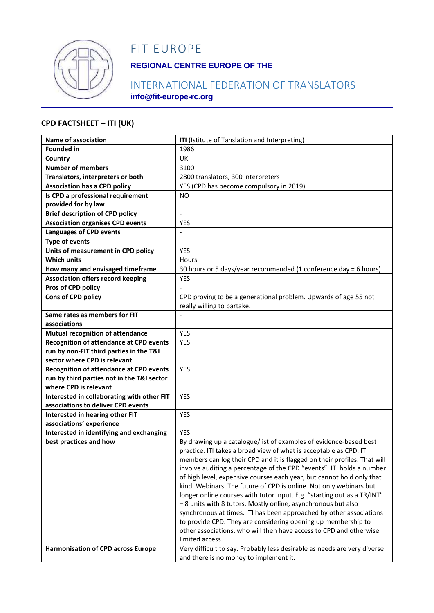

# FIT EUROPE

## **REGIONAL CENTRE EUROPE OF THE**

## INTERNATIONAL FEDERATION OF TRANSLATORS **info@fit-europe-rc.org**

#### **CPD FACTSHEET – ITI (UK)**

| Name of association                            | ITI (Istitute of Tanslation and Interpreting)                            |
|------------------------------------------------|--------------------------------------------------------------------------|
| <b>Founded in</b>                              | 1986                                                                     |
| Country                                        | <b>UK</b>                                                                |
| <b>Number of members</b>                       | 3100                                                                     |
| Translators, interpreters or both              | 2800 translators, 300 interpreters                                       |
| <b>Association has a CPD policy</b>            | YES (CPD has become compulsory in 2019)                                  |
| Is CPD a professional requirement              | <b>NO</b>                                                                |
| provided for by law                            |                                                                          |
| <b>Brief description of CPD policy</b>         | $\overline{a}$                                                           |
| <b>Association organises CPD events</b>        | <b>YES</b>                                                               |
| <b>Languages of CPD events</b>                 | $\qquad \qquad \blacksquare$                                             |
| <b>Type of events</b>                          | $\frac{1}{2}$                                                            |
| Units of measurement in CPD policy             | <b>YES</b>                                                               |
| <b>Which units</b>                             | Hours                                                                    |
| How many and envisaged timeframe               | 30 hours or 5 days/year recommended (1 conference day = 6 hours)         |
| <b>Association offers record keeping</b>       | <b>YES</b>                                                               |
| Pros of CPD policy                             |                                                                          |
| <b>Cons of CPD policy</b>                      | CPD proving to be a generational problem. Upwards of age 55 not          |
|                                                | really willing to partake.                                               |
| Same rates as members for FIT                  |                                                                          |
| associations                                   |                                                                          |
| <b>Mutual recognition of attendance</b>        | <b>YES</b>                                                               |
| <b>Recognition of attendance at CPD events</b> | YES                                                                      |
| run by non-FIT third parties in the T&I        |                                                                          |
| sector where CPD is relevant                   |                                                                          |
| Recognition of attendance at CPD events        | <b>YES</b>                                                               |
| run by third parties not in the T&I sector     |                                                                          |
| where CPD is relevant                          |                                                                          |
| Interested in collaborating with other FIT     | <b>YES</b>                                                               |
| associations to deliver CPD events             |                                                                          |
| Interested in hearing other FIT                | <b>YES</b>                                                               |
| associations' experience                       |                                                                          |
| Interested in identifying and exchanging       | <b>YES</b>                                                               |
| best practices and how                         | By drawing up a catalogue/list of examples of evidence-based best        |
|                                                | practice. ITI takes a broad view of what is acceptable as CPD. ITI       |
|                                                | members can log their CPD and it is flagged on their profiles. That will |
|                                                | involve auditing a percentage of the CPD "events". ITI holds a number    |
|                                                | of high level, expensive courses each year, but cannot hold only that    |
|                                                | kind. Webinars. The future of CPD is online. Not only webinars but       |
|                                                | longer online courses with tutor input. E.g. "starting out as a TR/INT"  |
|                                                | - 8 units with 8 tutors. Mostly online, asynchronous but also            |
|                                                | synchronous at times. ITI has been approached by other associations      |
|                                                | to provide CPD. They are considering opening up membership to            |
|                                                | other associations, who will then have access to CPD and otherwise       |
|                                                | limited access.                                                          |
| <b>Harmonisation of CPD across Europe</b>      | Very difficult to say. Probably less desirable as needs are very diverse |
|                                                | and there is no money to implement it.                                   |